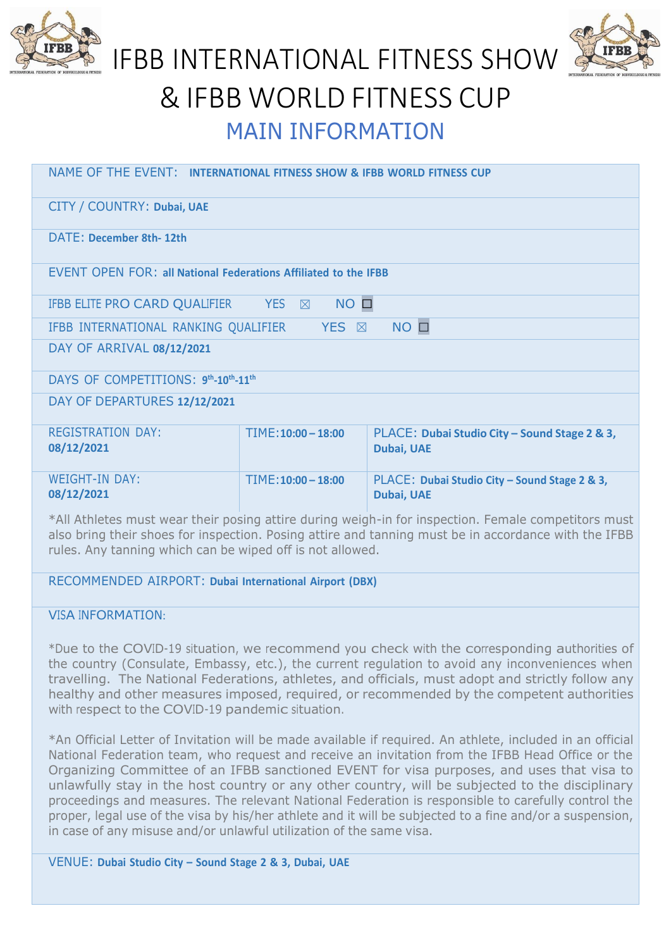



# IFBB INTERNATIONAL FITNESS SHOW & IFBB WORLD FITNESS CUP MAIN INFORMATION

| NAME OF THE EVENT: INTERNATIONAL FITNESS SHOW & IFBB WORLD FITNESS CUP                                                                                                                                      |                                   |                                                                    |  |  |
|-------------------------------------------------------------------------------------------------------------------------------------------------------------------------------------------------------------|-----------------------------------|--------------------------------------------------------------------|--|--|
| CITY / COUNTRY: Dubai, UAE                                                                                                                                                                                  |                                   |                                                                    |  |  |
| DATE: December 8th-12th                                                                                                                                                                                     |                                   |                                                                    |  |  |
| <b>EVENT OPEN FOR: all National Federations Affiliated to the IFBB</b>                                                                                                                                      |                                   |                                                                    |  |  |
| IFBB ELITE PRO CARD QUALIFIER                                                                                                                                                                               | $NO$ $\square$<br>YES $\boxtimes$ |                                                                    |  |  |
| $NO$ $\square$<br>IFBB INTERNATIONAL RANKING QUALIFIER<br><b>YES</b> ⊠                                                                                                                                      |                                   |                                                                    |  |  |
| DAY OF ARRIVAL 08/12/2021                                                                                                                                                                                   |                                   |                                                                    |  |  |
| DAYS OF COMPETITIONS: 9th-10th-11th                                                                                                                                                                         |                                   |                                                                    |  |  |
| DAY OF DEPARTURES 12/12/2021                                                                                                                                                                                |                                   |                                                                    |  |  |
| <b>REGISTRATION DAY:</b><br>08/12/2021                                                                                                                                                                      | $TIME: 10:00 - 18:00$             | PLACE: Dubai Studio City - Sound Stage 2 & 3,<br><b>Dubai, UAE</b> |  |  |
| <b>WEIGHT-IN DAY:</b><br>08/12/2021                                                                                                                                                                         | $TIME: 10:00 - 18:00$             | PLACE: Dubai Studio City - Sound Stage 2 & 3,<br>Dubai, UAE        |  |  |
| *All Athletes must wear their posing attire during weigh-in for inspection. Female competitors must<br>also bring their shoes for inspection. Posing attire and tanning must be in accordance with the IFBB |                                   |                                                                    |  |  |

rules. Any tanning which can be wiped off is not allowed.

RECOMMENDED AIRPORT: **Dubai International Airport (DBX)**

VISA INFORMATION:

\*Due to the COVID-19 situation, we recommend you check with the corresponding authorities of the country (Consulate, Embassy, etc.), the current regulation to avoid any inconveniences when travelling. The National Federations, athletes, and officials, must adopt and strictly follow any healthy and other measures imposed, required, or recommended by the competent authorities with respect to the COVID-19 pandemic situation.

\*An Official Letter of Invitation will be made available if required. An athlete, included in an official National Federation team, who request and receive an invitation from the IFBB Head Office or the Organizing Committee of an IFBB sanctioned EVENT for visa purposes, and uses that visa to unlawfully stay in the host country or any other country, will be subjected to the disciplinary proceedings and measures. The relevant National Federation is responsible to carefully control the proper, legal use of the visa by his/her athlete and it will be subjected to a fine and/or a suspension, in case of any misuse and/or unlawful utilization of the same visa.

VENUE: **Dubai Studio City – Sound Stage 2 & 3, Dubai, UAE**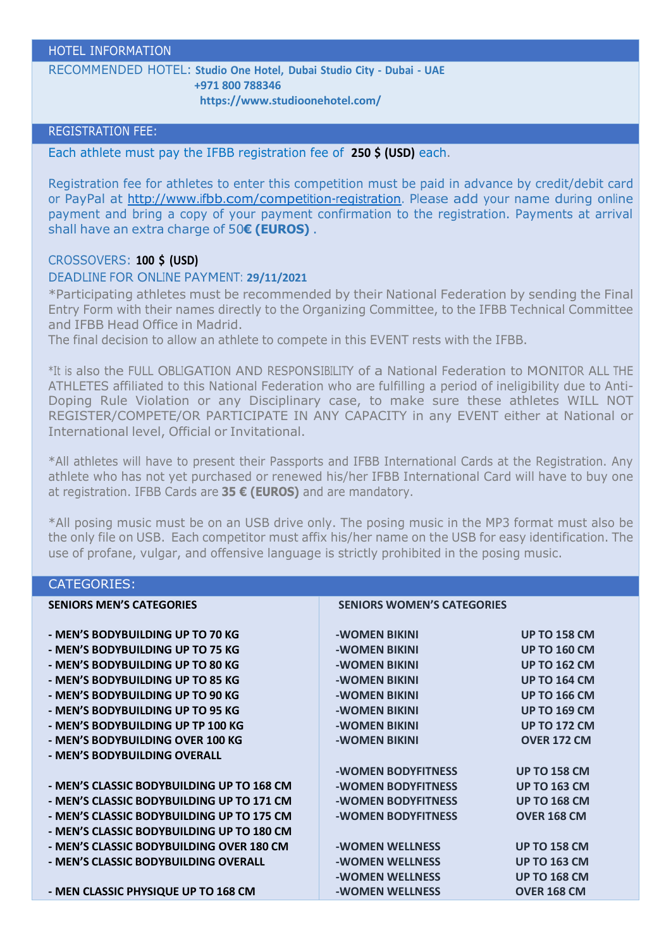#### HOTEL INFORMATION

RECOMMENDED HOTEL: **Studio One Hotel, Dubai Studio City - Dubai - UAE +971 800 788346**

**https:/[/www.studioonehotel.com/](http://www.studioonehotel.com/)**

#### REGISTRATION FEE:

Each athlete must pay the IFBB registration fee of **250 \$ (USD)** each.

Registration fee for athletes to enter this competition must be paid in advance by credit/debit card or PayPal at [http://www.ifbb.com/competition-registration.](http://www.ifbb.com/competition-registration) Please add your name during online payment and bring a copy of your payment confirmation to the registration. Payments at arrival shall have an extra charge of 50**€ (EUROS)** .

#### CROSSOVERS: **100 \$ (USD)**

#### DEADLINE FOR ONLINE PAYMENT: **29/11/2021**

\*Participating athletes must be recommended by their National Federation by sending the Final Entry Form with their names directly to the Organizing Committee, to the IFBB Technical Committee and IFBB Head Office in Madrid.

The final decision to allow an athlete to compete in this EVENT rests with the IFBB.

\*It is also the FULL OBLIGATION AND RESPONSIBILITY of a National Federation to MONITOR ALL THE ATHLETES affiliated to this National Federation who are fulfilling a period of ineligibility due to Anti-Doping Rule Violation or any Disciplinary case, to make sure these athletes WILL NOT REGISTER/COMPETE/OR PARTICIPATE IN ANY CAPACITY in any EVENT either at National or International level, Official or Invitational.

\*All athletes will have to present their Passports and IFBB International Cards at the Registration. Any athlete who has not yet purchased or renewed his/her IFBB International Card will have to buy one at registration. IFBB Cards are **35 € (EUROS)** and are mandatory.

\*All posing music must be on an USB drive only. The posing music in the MP3 format must also be the only file on USB. Each competitor must affix his/her name on the USB for easy identification. The use of profane, vulgar, and offensive language is strictly prohibited in the posing music.

## CATEGORIES:

| <b>SENIORS MEN'S CATEGORIES</b>           | <b>SENIORS WOMEN'S CATEGORIES</b> |                     |
|-------------------------------------------|-----------------------------------|---------------------|
| - MEN'S BODYBUILDING UP TO 70 KG          | -WOMEN BIKINI                     | <b>UP TO 158 CM</b> |
| - MEN'S BODYBUILDING UP TO 75 KG          | -WOMEN BIKINI                     | <b>UP TO 160 CM</b> |
| - MEN'S BODYBUILDING UP TO 80 KG          | -WOMEN BIKINI                     | <b>UP TO 162 CM</b> |
| - MEN'S BODYBUILDING UP TO 85 KG          | -WOMEN BIKINI                     | <b>UP TO 164 CM</b> |
| - MEN'S BODYBUILDING UP TO 90 KG          | -WOMEN BIKINI                     | <b>UP TO 166 CM</b> |
| - MEN'S BODYBUILDING UP TO 95 KG          | -WOMEN BIKINI                     | <b>UP TO 169 CM</b> |
| - MEN'S BODYBUILDING UP TP 100 KG         | -WOMEN BIKINI                     | <b>UP TO 172 CM</b> |
| - MEN'S BODYBUILDING OVER 100 KG          | -WOMEN BIKINI                     | <b>OVER 172 CM</b>  |
| - MEN'S BODYBUILDING OVERALL              |                                   |                     |
|                                           | -WOMEN BODYFITNESS                | <b>UP TO 158 CM</b> |
| - MEN'S CLASSIC BODYBUILDING UP TO 168 CM | -WOMEN BODYFITNESS                | <b>UP TO 163 CM</b> |
| - MEN'S CLASSIC BODYBUILDING UP TO 171 CM | -WOMEN BODYFITNESS                | <b>UP TO 168 CM</b> |
| - MEN'S CLASSIC BODYBUILDING UP TO 175 CM | -WOMEN BODYFITNESS                | <b>OVER 168 CM</b>  |
| - MEN'S CLASSIC BODYBUILDING UP TO 180 CM |                                   |                     |
| - MEN'S CLASSIC BODYBUILDING OVER 180 CM  | -WOMEN WELLNESS                   | <b>UP TO 158 CM</b> |
| - MEN'S CLASSIC BODYBUILDING OVERALL      | -WOMEN WELLNESS                   | <b>UP TO 163 CM</b> |
|                                           | -WOMEN WELLNESS                   | <b>UP TO 168 CM</b> |
| - MEN CLASSIC PHYSIQUE UP TO 168 CM       | -WOMEN WELLNESS                   | <b>OVER 168 CM</b>  |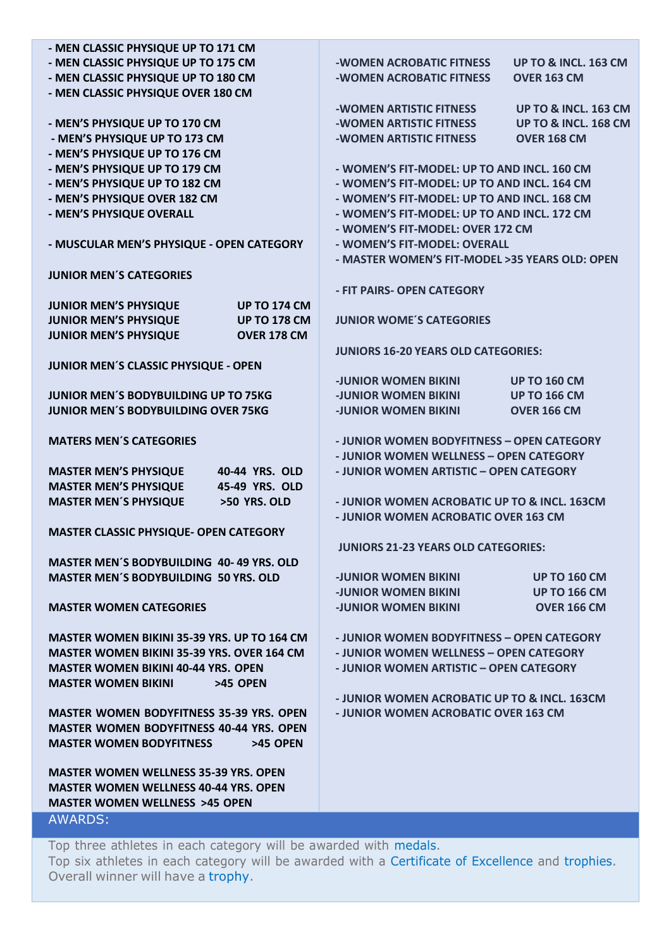| - MEN CLASSIC PHYSIQUE UP TO 171 CM                 |                                                |                                 |
|-----------------------------------------------------|------------------------------------------------|---------------------------------|
| - MEN CLASSIC PHYSIQUE UP TO 175 CM                 | -WOMEN ACROBATIC FITNESS                       | <b>UP TO &amp; INCL, 163 CM</b> |
| - MEN CLASSIC PHYSIQUE UP TO 180 CM                 | -WOMEN ACROBATIC FITNESS                       | <b>OVER 163 CM</b>              |
| - MEN CLASSIC PHYSIQUE OVER 180 CM                  |                                                |                                 |
|                                                     | -WOMEN ARTISTIC FITNESS                        | UP TO & INCL. 163 CM            |
| - MEN'S PHYSIQUE UP TO 170 CM                       | -WOMEN ARTISTIC FITNESS                        | <b>UP TO &amp; INCL. 168 CM</b> |
| - MEN'S PHYSIQUE UP TO 173 CM                       | -WOMEN ARTISTIC FITNESS                        | <b>OVER 168 CM</b>              |
| - MEN'S PHYSIQUE UP TO 176 CM                       |                                                |                                 |
| - MEN'S PHYSIQUE UP TO 179 CM                       | - WOMEN'S FIT-MODEL: UP TO AND INCL. 160 CM    |                                 |
| - MEN'S PHYSIQUE UP TO 182 CM                       | - WOMEN'S FIT-MODEL: UP TO AND INCL. 164 CM    |                                 |
| - MEN'S PHYSIQUE OVER 182 CM                        | - WOMEN'S FIT-MODEL: UP TO AND INCL. 168 CM    |                                 |
| - MEN'S PHYSIQUE OVERALL                            | - WOMEN'S FIT-MODEL: UP TO AND INCL. 172 CM    |                                 |
|                                                     | - WOMEN'S FIT-MODEL: OVER 172 CM               |                                 |
| - MUSCULAR MEN'S PHYSIQUE - OPEN CATEGORY           | - WOMEN'S FIT-MODEL: OVERALL                   |                                 |
|                                                     | - MASTER WOMEN'S FIT-MODEL >35 YEARS OLD: OPEN |                                 |
| <b>JUNIOR MEN'S CATEGORIES</b>                      |                                                |                                 |
|                                                     | - FIT PAIRS- OPEN CATEGORY                     |                                 |
| <b>UP TO 174 CM</b><br><b>JUNIOR MEN'S PHYSIQUE</b> |                                                |                                 |
| <b>JUNIOR MEN'S PHYSIQUE</b><br><b>UP TO 178 CM</b> | <b>JUNIOR WOME'S CATEGORIES</b>                |                                 |
| <b>JUNIOR MEN'S PHYSIQUE</b><br><b>OVER 178 CM</b>  |                                                |                                 |
|                                                     | <b>JUNIORS 16-20 YEARS OLD CATEGORIES:</b>     |                                 |
| JUNIOR MEN'S CLASSIC PHYSIQUE - OPEN                |                                                |                                 |
|                                                     | <b>-JUNIOR WOMEN BIKINI</b>                    | <b>UP TO 160 CM</b>             |
| <b>JUNIOR MEN'S BODYBUILDING UP TO 75KG</b>         | <b>-JUNIOR WOMEN BIKINI</b>                    | <b>UP TO 166 CM</b>             |
| <b>JUNIOR MEN'S BODYBUILDING OVER 75KG</b>          | <b>-JUNIOR WOMEN BIKINI</b>                    | <b>OVER 166 CM</b>              |
|                                                     |                                                |                                 |
| <b>MATERS MEN'S CATEGORIES</b>                      | - JUNIOR WOMEN BODYFITNESS - OPEN CATEGORY     |                                 |
|                                                     | - JUNIOR WOMEN WELLNESS - OPEN CATEGORY        |                                 |
| 40-44 YRS. OLD<br><b>MASTER MEN'S PHYSIQUE</b>      | - JUNIOR WOMEN ARTISTIC - OPEN CATEGORY        |                                 |
| <b>MASTER MEN'S PHYSIQUE</b><br>45-49 YRS. OLD      |                                                |                                 |
| <b>MASTER MEN'S PHYSIQUE</b><br>>50 YRS. OLD        | - JUNIOR WOMEN ACROBATIC UP TO & INCL. 163CM   |                                 |
|                                                     | - JUNIOR WOMEN ACROBATIC OVER 163 CM           |                                 |
| <b>MASTER CLASSIC PHYSIQUE- OPEN CATEGORY</b>       |                                                |                                 |
|                                                     | <b>JUNIORS 21-23 YEARS OLD CATEGORIES:</b>     |                                 |
| <b>MASTER MEN'S BODYBUILDING 40-49 YRS. OLD</b>     |                                                |                                 |
| <b>MASTER MEN'S BODYBUILDING 50 YRS. OLD</b>        | <b>-JUNIOR WOMEN BIKINI</b>                    | <b>UP TO 160 CM</b>             |
|                                                     | -JUNIOR WOMEN BIKINI                           | <b>UP TO 166 CM</b>             |
| <b>MASTER WOMEN CATEGORIES</b>                      | <b>-JUNIOR WOMEN BIKINI</b>                    | <b>OVER 166 CM</b>              |
|                                                     |                                                |                                 |
| <b>MASTER WOMEN BIKINI 35-39 YRS. UP TO 164 CM</b>  | - JUNIOR WOMEN BODYFITNESS - OPEN CATEGORY     |                                 |
| <b>MASTER WOMEN BIKINI 35-39 YRS. OVER 164 CM</b>   | - JUNIOR WOMEN WELLNESS - OPEN CATEGORY        |                                 |
| <b>MASTER WOMEN BIKINI 40-44 YRS. OPEN</b>          | - JUNIOR WOMEN ARTISTIC - OPEN CATEGORY        |                                 |
| <b>MASTER WOMEN BIKINI</b><br>>45 OPEN              |                                                |                                 |
|                                                     | - JUNIOR WOMEN ACROBATIC UP TO & INCL. 163CM   |                                 |
| <b>MASTER WOMEN BODYFITNESS 35-39 YRS. OPEN</b>     | - JUNIOR WOMEN ACROBATIC OVER 163 CM           |                                 |
| <b>MASTER WOMEN BODYFITNESS 40-44 YRS. OPEN</b>     |                                                |                                 |
| <b>MASTER WOMEN BODYFITNESS</b><br>>45 OPEN         |                                                |                                 |
|                                                     |                                                |                                 |
| <b>MASTER WOMEN WELLNESS 35-39 YRS. OPEN</b>        |                                                |                                 |
| <b>MASTER WOMEN WELLNESS 40-44 YRS. OPEN</b>        |                                                |                                 |
| <b>MASTER WOMEN WELLNESS &gt;45 OPEN</b>            |                                                |                                 |
| <b>AWARDS:</b>                                      |                                                |                                 |
|                                                     |                                                |                                 |

Top three athletes in each category will be awarded with medals. Top six athletes in each category will be awarded with a Certificate of Excellence and trophies. Overall winner will have a trophy.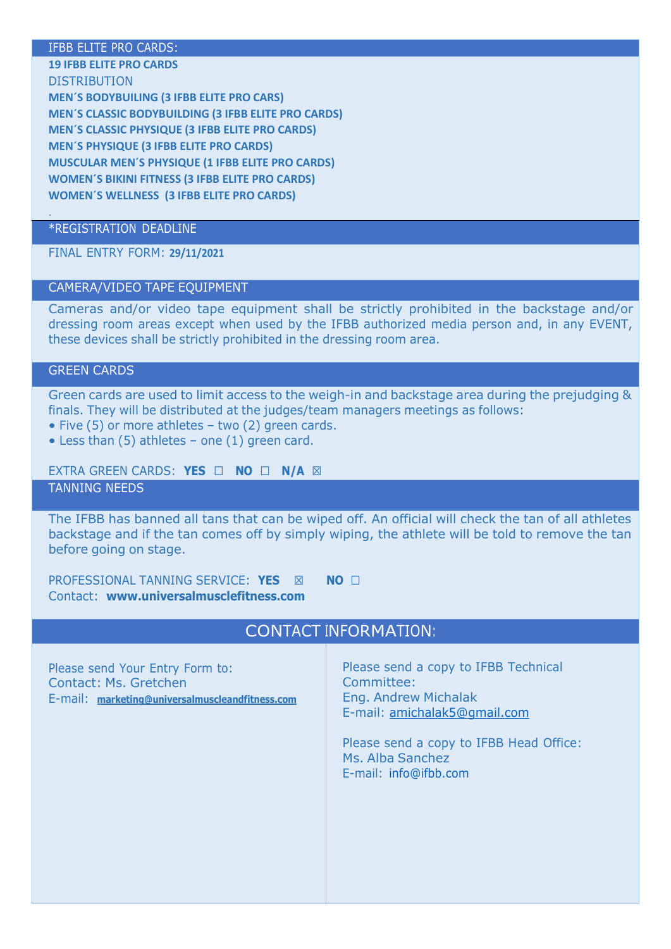#### IFBB ELITE PRO CARDS:

#### **19 IFBB ELITE PRO CARDS** DISTRIBUTION

**MEN´S BODYBUILING (3 IFBB ELITE PRO CARS) MEN´S CLASSIC BODYBUILDING (3 IFBB ELITE PRO CARDS) MEN´S CLASSIC PHYSIQUE (3 IFBB ELITE PRO CARDS) MEN´S PHYSIQUE (3 IFBB ELITE PRO CARDS) MUSCULAR MEN´S PHYSIQUE (1 IFBB ELITE PRO CARDS) WOMEN´S BIKINI FITNESS (3 IFBB ELITE PRO CARDS) WOMEN´S WELLNESS (3 IFBB ELITE PRO CARDS)**

## \*REGISTRATION DEADLINE

FINAL ENTRY FORM: **29/11/2021**

### CAMERA/VIDEO TAPE EQUIPMENT

Cameras and/or video tape equipment shall be strictly prohibited in the backstage and/or dressing room areas except when used by the IFBB authorized media person and, in any EVENT, these devices shall be strictly prohibited in the dressing room area.

## GREEN CARDS

.

Green cards are used to limit access to the weigh-in and backstage area during the prejudging & finals. They will be distributed at the judges/team managers meetings as follows:

• Five (5) or more athletes – two (2) green cards.

• Less than (5) athletes – one (1) green card.

EXTRA GREEN CARDS: **YES** ☐ **NO** ☐ **N/A** ☒

TANNING NEEDS

The IFBB has banned all tans that can be wiped off. An official will check the tan of all athletes backstage and if the tan comes off by simply wiping, the athlete will be told to remove the tan before going on stage.

PROFESSIONAL TANNING SERVICE: **YES** ☒ **NO** ☐ Contact: **[www.universalmusclefitness.com](http://www.universalmusclefitness.com/)**

| <b>CONTACT INFORMATION:</b>                                                                                 |                                                                                                                                                                                                    |  |
|-------------------------------------------------------------------------------------------------------------|----------------------------------------------------------------------------------------------------------------------------------------------------------------------------------------------------|--|
| Please send Your Entry Form to:<br>Contact: Ms. Gretchen<br>E-mail: marketing@universalmuscleandfitness.com | Please send a copy to IFBB Technical<br>Committee:<br>Eng. Andrew Michalak<br>E-mail: amichalak5@qmail.com<br>Please send a copy to IFBB Head Office:<br>Ms. Alba Sanchez<br>E-mail: info@ifbb.com |  |